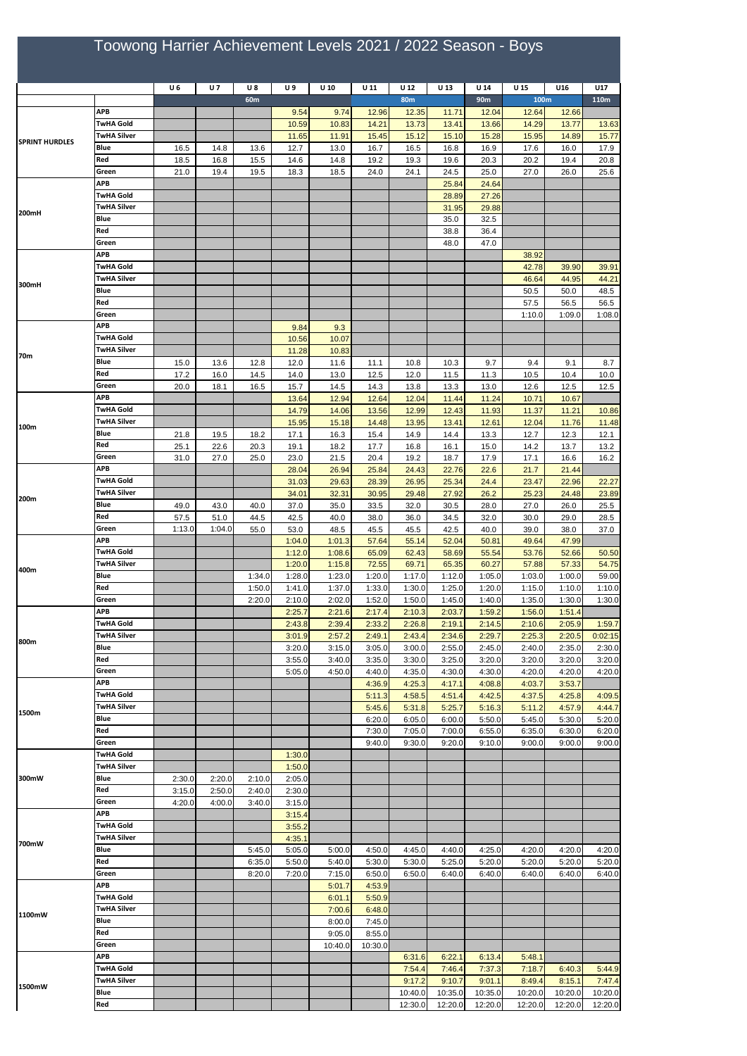## Toowong Harrier Achievement Levels 2021 / 2022 Season - Boys

|                       |                                        | U6           | <b>U7</b>    | <b>U8</b>        | U 9              | $U$ 10           | U 11             | U 12             | U 13             | U <sub>14</sub>  | U 15             | U16              | U17              |
|-----------------------|----------------------------------------|--------------|--------------|------------------|------------------|------------------|------------------|------------------|------------------|------------------|------------------|------------------|------------------|
| <b>SPRINT HURDLES</b> |                                        |              |              | 60m              |                  |                  |                  | <b>80m</b>       |                  | 90 <sub>m</sub>  | 100m             |                  | 110m             |
|                       | <b>APB</b>                             |              |              |                  | 9.54             | 9.74             | 12.96            | 12.35            | 11.71            | 12.04            | 12.64            | 12.66            |                  |
|                       | <b>TwHA Gold</b><br><b>TwHA Silver</b> |              |              |                  | 10.59<br>11.65   | 10.83<br>11.91   | 14.21<br>15.45   | 13.73<br>15.12   | 13.41<br>15.10   | 13.66<br>15.28   | 14.29<br>15.95   | 13.77<br>14.89   | 13.63<br>15.77   |
|                       | Blue                                   | 16.5         | 14.8         | 13.6             | 12.7             | 13.0             | 16.7             | 16.5             | 16.8             | 16.9             | 17.6             | 16.0             | 17.9             |
|                       | Red                                    | 18.5         | 16.8         | 15.5             | 14.6             | 14.8             | 19.2             | 19.3             | 19.6             | 20.3             | 20.2             | 19.4             | 20.8             |
|                       | Green                                  | 21.0         | 19.4         | 19.5             | 18.3             | 18.5             | 24.0             | 24.1             | 24.5             | 25.0             | 27.0             | 26.0             | 25.6             |
| 200mH                 | <b>APB</b>                             |              |              |                  |                  |                  |                  |                  | 25.84            | 24.64            |                  |                  |                  |
|                       | TwHA Gold                              |              |              |                  |                  |                  |                  |                  | 28.89            | 27.26            |                  |                  |                  |
|                       | <b>TwHA Silver</b>                     |              |              |                  |                  |                  |                  |                  | 31.95            | 29.88            |                  |                  |                  |
|                       | Blue                                   |              |              |                  |                  |                  |                  |                  | 35.0             | 32.5             |                  |                  |                  |
|                       | Red<br>Green                           |              |              |                  |                  |                  |                  |                  | 38.8<br>48.0     | 36.4<br>47.0     |                  |                  |                  |
|                       | <b>APB</b>                             |              |              |                  |                  |                  |                  |                  |                  |                  | 38.92            |                  |                  |
|                       | <b>TwHA Gold</b>                       |              |              |                  |                  |                  |                  |                  |                  |                  | 42.78            | 39.90            | 39.91            |
|                       | <b>TwHA Silver</b>                     |              |              |                  |                  |                  |                  |                  |                  |                  | 46.64            | 44.95            | 44.21            |
| 300mH                 | Blue                                   |              |              |                  |                  |                  |                  |                  |                  |                  | 50.5             | 50.0             | 48.5             |
|                       | Red                                    |              |              |                  |                  |                  |                  |                  |                  |                  | 57.5             | 56.5             | 56.5             |
|                       | Green                                  |              |              |                  |                  |                  |                  |                  |                  |                  | 1:10.0           | 1:09.0           | 1:08.0           |
|                       | <b>APB</b>                             |              |              |                  | 9.84             | 9.3              |                  |                  |                  |                  |                  |                  |                  |
|                       | <b>TwHA Gold</b><br>TwHA Silver        |              |              |                  | 10.56            | 10.07            |                  |                  |                  |                  |                  |                  |                  |
| 70m                   | Blue                                   |              |              |                  | 11.28            | 10.83<br>11.6    |                  |                  |                  |                  | 9.4              |                  |                  |
|                       | Red                                    | 15.0<br>17.2 | 13.6<br>16.0 | 12.8<br>14.5     | 12.0<br>14.0     | 13.0             | 11.1<br>12.5     | 10.8<br>12.0     | 10.3<br>11.5     | 9.7<br>11.3      | 10.5             | 9.1<br>10.4      | 8.7<br>10.0      |
|                       | Green                                  | 20.0         | 18.1         | 16.5             | 15.7             | 14.5             | 14.3             | 13.8             | 13.3             | 13.0             | 12.6             | 12.5             | 12.5             |
|                       | <b>APB</b>                             |              |              |                  | 13.64            | 12.94            | 12.64            | 12.04            | 11.44            | 11.24            | 10.71            | 10.67            |                  |
|                       | <b>TwHA Gold</b>                       |              |              |                  | 14.79            | 14.06            | 13.56            | 12.99            | 12.43            | 11.93            | 11.37            | 11.21            | 10.86            |
| 100m                  | TwHA Silver                            |              |              |                  | 15.95            | 15.18            | 14.48            | 13.95            | 13.41            | 12.61            | 12.04            | 11.76            | 11.48            |
|                       | Blue                                   | 21.8         | 19.5         | 18.2             | 17.1             | 16.3             | 15.4             | 14.9             | 14.4             | 13.3             | 12.7             | 12.3             | 12.1             |
|                       | Red                                    | 25.1         | 22.6         | 20.3             | 19.1             | 18.2             | 17.7             | 16.8             | 16.1             | 15.0             | 14.2             | 13.7             | 13.2             |
|                       | Green<br><b>APB</b>                    | 31.0         | 27.0         | 25.0             | 23.0             | 21.5             | 20.4             | 19.2             | 18.7             | 17.9             | 17.1             | 16.6             | 16.2             |
|                       | <b>TwHA Gold</b>                       |              |              |                  | 28.04            | 26.94            | 25.84            | 24.43            | 22.76            | 22.6             | 21.7             | 21.44            |                  |
|                       | TwHA Silver                            |              |              |                  | 31.03<br>34.01   | 29.63<br>32.31   | 28.39<br>30.95   | 26.95<br>29.48   | 25.34<br>27.92   | 24.4<br>26.2     | 23.47<br>25.23   | 22.96<br>24.48   | 22.27<br>23.89   |
| 200m                  | Blue                                   | 49.0         | 43.0         | 40.0             | 37.0             | 35.0             | 33.5             | 32.0             | 30.5             | 28.0             | 27.0             | 26.0             | 25.5             |
|                       | Red                                    | 57.5         | 51.0         | 44.5             | 42.5             | 40.0             | 38.0             | 36.0             | 34.5             | 32.0             | 30.0             | 29.0             | 28.5             |
|                       | Green                                  | 1:13.0       | 1:04.0       | 55.0             | 53.0             | 48.5             | 45.5             | 45.5             | 42.5             | 40.0             | 39.0             | 38.0             | 37.0             |
|                       | <b>APB</b>                             |              |              |                  | 1:04.0           | 1:01.3           | 57.64            | 55.14            | 52.04            | 50.81            | 49.64            | 47.99            |                  |
|                       | <b>TwHA Gold</b>                       |              |              |                  | 1:12.0           | 1:08.6           | 65.09            | 62.43            | 58.69            | 55.54            | 53.76            | 52.66            | 50.50            |
| 400m                  | TwHA Silver                            |              |              |                  | 1:20.0           | 1:15.8           | 72.55            | 69.71            | 65.35            | 60.27            | 57.88            | 57.33            | 54.75            |
|                       | Blue<br>Red                            |              |              | 1:34.0           | 1:28.0           | 1:23.0           | 1:20.0           | 1:17.0           | 1:12.0           | 1:05.0           | 1:03.0           | 1:00.0           | 59.00            |
|                       | Green                                  |              |              | 1:50.0<br>2:20.0 | 1:41.0<br>2:10.0 | 1:37.0<br>2:02.0 | 1:33.0<br>1:52.0 | 1:30.0<br>1:50.0 | 1:25.0<br>1:45.0 | 1:20.0<br>1:40.0 | 1:15.0<br>1:35.0 | 1:10.0<br>1:30.0 | 1:10.0<br>1:30.0 |
|                       | <b>APB</b>                             |              |              |                  | 2:25.7           | 2:21.6           | 2:17.4           | 2:10.3           | 2:03.7           | 1:59.2           | 1:56.0           | 1:51.4           |                  |
| 800m                  | <b>TwHA Gold</b>                       |              |              |                  | 2:43.8           | 2:39.4           | 2:33.2           | 2:26.8           | 2:19.1           | 2:14.5           | 2:10.6           | 2:05.9           | 1:59.7           |
|                       | <b>TwHA Silver</b>                     |              |              |                  | 3:01.9           | 2:57.2           | 2:49.1           | 2:43.4           | 2:34.6           | 2:29.7           | 2:25.3           | 2:20.5           | 0:02:15          |
|                       | Blue                                   |              |              |                  | 3:20.0           | 3:15.0           | 3:05.0           | 3:00.0           | 2:55.0           | 2:45.0           | 2:40.0           | 2:35.0           | 2:30.0           |
|                       | Red                                    |              |              |                  | 3:55.0           | 3:40.0           | 3:35.0           | 3:30.0           | 3:25.0           | 3:20.0           | 3:20.0           | 3:20.0           | 3:20.0           |
|                       | Green                                  |              |              |                  | 5:05.0           | 4:50.0           | 4:40.0           | 4:35.0           | 4:30.0           | 4:30.0           | 4:20.0           | 4:20.0           | 4:20.0           |
| 1500m                 | APB<br><b>TwHA Gold</b>                |              |              |                  |                  |                  | 4:36.9           | 4:25.3           | 4:17.1           | 4:08.8           | 4:03.7           | 3:53.7           |                  |
|                       | <b>TwHA Silver</b>                     |              |              |                  |                  |                  | 5:11.3<br>5:45.6 | 4:58.5<br>5:31.8 | 4:51.4<br>5:25.7 | 4:42.5<br>5:16.3 | 4:37.5<br>5:11.2 | 4:25.8<br>4:57.9 | 4:09.5<br>4:44.7 |
|                       | Blue                                   |              |              |                  |                  |                  | 6:20.0           | 6:05.0           | 6:00.0           | 5:50.0           | 5:45.0           | 5:30.0           | 5:20.0           |
|                       | Red                                    |              |              |                  |                  |                  | 7:30.0           | 7:05.0           | 7:00.0           | 6:55.0           | 6:35.0           | 6:30.0           | 6:20.0           |
|                       | Green                                  |              |              |                  |                  |                  | 9:40.0           | 9:30.0           | 9:20.0           | 9:10.0           | 9:00.0           | 9:00.0           | 9:00.0           |
| 300mW                 | <b>TwHA Gold</b>                       |              |              |                  | 1:30.0           |                  |                  |                  |                  |                  |                  |                  |                  |
|                       | <b>TwHA Silver</b>                     |              |              |                  | 1:50.0           |                  |                  |                  |                  |                  |                  |                  |                  |
|                       | Blue                                   | 2:30.0       | 2:20.0       | 2:10.0           | 2:05.0           |                  |                  |                  |                  |                  |                  |                  |                  |
|                       | Red<br>Green                           | 3:15.0       | 2:50.0       | 2:40.0           | 2:30.0           |                  |                  |                  |                  |                  |                  |                  |                  |
| 700mW                 | <b>APB</b>                             | 4:20.0       | 4:00.0       | 3:40.0           | 3:15.0<br>3:15.4 |                  |                  |                  |                  |                  |                  |                  |                  |
|                       | <b>TwHA Gold</b>                       |              |              |                  | 3:55.2           |                  |                  |                  |                  |                  |                  |                  |                  |
|                       | <b>TwHA Silver</b>                     |              |              |                  | 4:35.1           |                  |                  |                  |                  |                  |                  |                  |                  |
|                       | Blue                                   |              |              | 5:45.0           | 5:05.0           | 5:00.0           | 4:50.0           | 4:45.0           | 4:40.0           | 4:25.0           | 4:20.0           | 4:20.0           | 4:20.0           |
|                       | Red                                    |              |              | 6:35.0           | 5:50.0           | 5:40.0           | 5:30.0           | 5:30.0           | 5:25.0           | 5:20.0           | 5:20.0           | 5:20.0           | 5:20.0           |
| 1100mW                | Green                                  |              |              | 8:20.0           | 7:20.0           | 7:15.0           | 6:50.0           | 6:50.0           | 6:40.0           | 6:40.0           | 6:40.0           | 6:40.0           | 6:40.0           |
|                       | APB                                    |              |              |                  |                  | 5:01.7           | 4:53.9           |                  |                  |                  |                  |                  |                  |
|                       | <b>TwHA Gold</b>                       |              |              |                  |                  | 6:01.1           | 5:50.9           |                  |                  |                  |                  |                  |                  |
|                       | <b>TwHA Silver</b><br>Blue             |              |              |                  |                  | 7:00.6           | 6:48.0           |                  |                  |                  |                  |                  |                  |
|                       | Red                                    |              |              |                  |                  | 8:00.0<br>9:05.0 | 7:45.0<br>8:55.0 |                  |                  |                  |                  |                  |                  |
|                       | Green                                  |              |              |                  |                  | 10:40.0          | 10:30.0          |                  |                  |                  |                  |                  |                  |
|                       | APB                                    |              |              |                  |                  |                  |                  | 6:31.6           | 6:22.1           | 6:13.4           | 5:48.1           |                  |                  |
|                       | <b>TwHA Gold</b>                       |              |              |                  |                  |                  |                  | 7:54.4           | 7:46.4           | 7:37.3           | 7:18.7           | 6:40.3           | 5:44.9           |
| 1500mW                | <b>TwHA Silver</b>                     |              |              |                  |                  |                  |                  | 9:17.2           | 9:10.7           | 9:01.1           | 8:49.4           | 8:15.1           | 7:47.4           |
|                       | Blue                                   |              |              |                  |                  |                  |                  | 10:40.0          | 10:35.0          | 10:35.0          | 10:20.0          | 10:20.0          | 10:20.0          |
|                       | Red                                    |              |              |                  |                  |                  |                  | 12:30.0          | 12:20.0          | 12:20.0          | 12:20.0          | 12:20.0          | 12:20.0          |